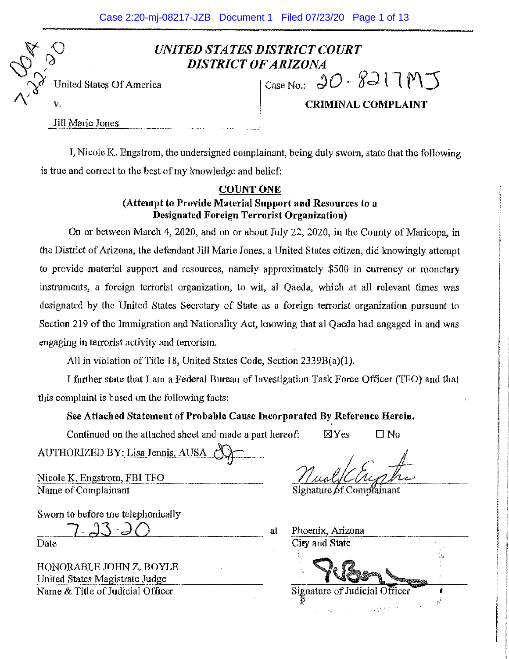# *UNITED STATES DISTRICT COURT DISTRICT OF ARIZONA*

0, 0, 0 **~f)/** United States Of America

CaseNo.: *jQ-* **f~ l l M:j** 

Jill Marie Jones

 $\sqrt[n]{\sqrt{2}}$ 

*I\:* 

V. **CRIMINAL COMPLAINT** 

I, Nicole K. Engstrom, the undersigned complainant, being duly sworn, state that the following is true and correct to the best of my knowledge and belief:

## **COUNTONE**

**(Attempt to Provide Material Support and Resources** to a **Designated Foreign Terrorist Organization)** 

On or between March 4, 2020, and on or about July 22, 2020, in the County of Maricopa, in the District of Arizona, the defendant Jill Marie Jones, a United States citizen, did knowingly attempt to provide material support and resources, namely approximately \$500 in currency or monetary instruments, a foreign terrorist organization, to wit, al Qaeda, which at all relevant times was designated by the United States Secretary of State as a foreign terrorist organization pursuant to Section 219 of the Immigration and Nationality Act, knowing that al Qaeda had engaged in and was engaging in terrorist activity and terrorism.

All in violation of Title 18, United States Code, Section  $2339B(a)(1)$ .

I further state that I am a Federal Bureau of Investigation Task Force Officer (TFO) and that this complaint is based on the following facts:

## See Attached Statement of Probable Cause Incorporated By Reference Herein,

Continued on the attached sheet and made a part hereof:  $\boxtimes$  Yes

 $\square$  No

AUTHORIZED BY: Lisa Jennis, AUSA ~

Nicole K. Engstrom, FBI TFO Name of Complainant

Sworn to before me telephonically

 $-23$ 

Date

HONORABLE JOHN Z. BOYLE United States Magistrate Judge Name & Title of Judicial Officer

Signature of Complainant

at Phoenix, Arizona City and State Signature of Judicial Officer î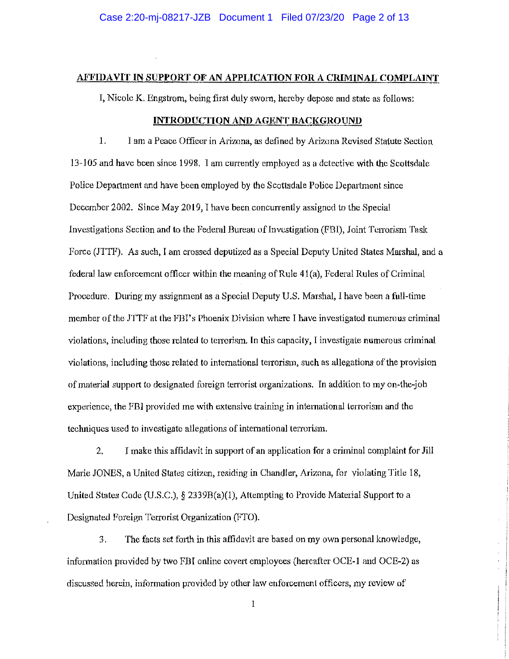## **AFFIDAVIT IN SUPPORT OF AN APPLICATION FOR A CRIMINAL COMPLAINT**

I, Nicole K, Engstrom, being first duly swam, hereby depose and state as follows:

## **INTRODUCTION AND AGENT BACKGROUND**

1. I am **a** Peace Officer in Arizona, as defined by Arizona Revised Statute Section 13-105 and have been since 1998, I am currently employed as a detective with the Scottsdale Police Department and have been employed by the Scottsdale Police Department since December 2002. Since May 2019, I have been concurrently assigned to the Special Investigations Section and to the Federal Bureau of Investigation (FBI), Joint Terrorism Task Force (JTTF). As such, I am crossed deputized as a Special Deputy United States Marshal, and a federal law enforcement officer within the meaning of Rule 4l(a), Federal Rules of Criminal Procedure. During my assignment as a Special Deputy U.S. Marshal, I have been a full-time member of the JTTF at the FBI's Phoenix Division where I have investigated numerous criminal violations, including those related to terrorism. In this capacity, I investigate numerous criminal violations, including those related to international terrorism, such as allegations of the provision of material support to designated foreign terrorist organizations. In addition to my on-the-job experience, the FBI provided me with extensive training in international terrorism and the techniques used to investigate allegations of international terrorism.

2. I make this affidavit in support of an application for a criminal complaint for Jill Marie JONES, a United States citizen, residing in Chandler, Arizona, for violating Title 18, United States Code (U.S.C.),  $\S$  2339B(a)(1), Attempting to Provide Material Support to a Designated Foreign Terrorist Organization (FTO).

3. The facts set forth in this affidavit are based on my own personal knowledge, information provided by two FBI online covert employees (hereafter OCE-1 and OCE-2) as discussed herein, information provided by other law enforcement officers, my review of

 $\bf{l}$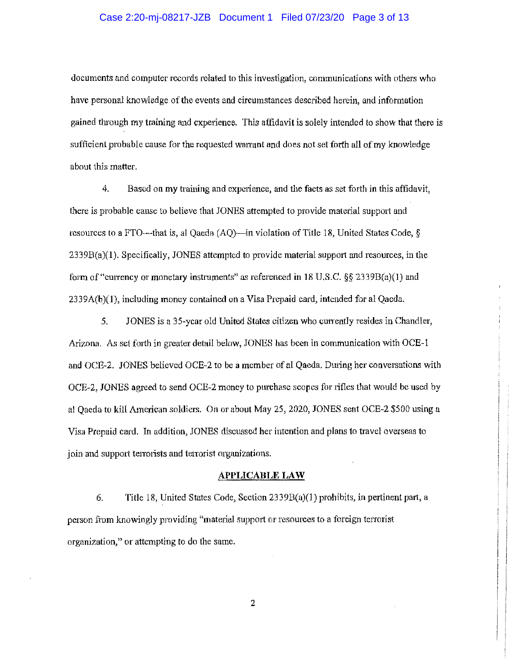### Case 2:20-mj-08217-JZB Document 1 Filed 07/23/20 Page 3 of 13

documents and computer records related to this investigation, communications with others who have personal knowledge of the events and circumstances described herein, and information gained through my training and experience. This affidavit is solely intended to show that there is sufficient probable cause for the requested warrant and does not set forth all of my knowledge about this matter.

4. Based on my training and experience, and the facts as set forth in this affidavit, there is probable cause to believe that JONES attempted to provide material support and resources to a FTO—that is, al Qaeda (AQ)—in violation of Title 18, United States Code,  $\S$  $2339B(a)(1)$ . Specifically, JONES attempted to provide material support and resources, in the fom1 of"currency or monetary instruments" *as* referenced in 18 U.S.C. *§§* 2339B(a)(l) and 2339A(b)(l), including money contained on a Visa Prepaid card, intended for al Qaeda.

5. JONES is a 35-year old United States citizen who currently resides in Chandler, Arizona. As set forth in greater detail below, JONES has been in communication with OCE-1 and OCE-2. JONES believed OCE-2 to be a member of al Qaeda, During her conversations with OCE-2, JONES agreed to send OCE-2 money to purchase scopes for 1ifles that would be used by al Qaeda to kill American soldiers. On or about May 25, 2020, JONES sent OCE-2 \$500 using a Visa Prepaid card. In addition, JONES discussed her intention and plans to travel overseas to join and support terrorists and terrorist organizations.

#### **APPLICABLE LAW**

6. Title 18, United States Code, Section  $2339B(a)(1)$  prohibits, in pertinent part, a person from lmowingly providing "material support or resources to a foreign terrorist organization," or attempting to do the same.

2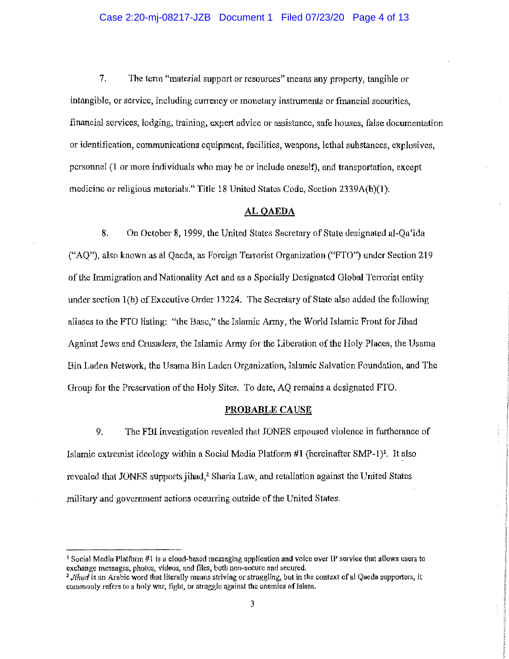#### Case 2:20-mj-08217-JZB Document 1 Filed 07/23/20 Page 4 of 13

7. The term "material support or resources" means any property, tangible or intangible, or service, including currency or monetary instruments or fmancial securities, financial services, lodging, training, expert advice or assistance, safe houses, false documentation or identification, communications equipment, facilities, weapons, lethal substances, explosives, personnel **(1** or more individuals who may be or include oneself), and transportation, except medicine or religious materials." Title 18 United States Code, Section 2339A(b)(l).

#### **AL QAEDA**

8. On October 8, 1999, the United States Secretary of State designated al-Qa'ida ("AQ"), also known as al Qaeda, as Foreign Tenorist Organization ("FTO") under Section 219 of the Immigration and Nationality Act and as a Specially Designated Global Terrorist entity under section 1(b) of Executive Order 13224. The Secretary of State also added the following aliases to the FTO listing: "the Base," the Islamic Army, the World Islamic Front for Jihad Against Jews and Crusaders, the Islamic Army for the Liberation of the Holy Places, the Usama Bin Laden Network, the Usama Bin Laden Organization, Islamic Salvation Foundation, and The Group for the Preservation of the Holy Sites. To date, AQ remains a designated FTO.

#### **PROBABLE CAUSE**

9. The FBI investigation revealed that JONES espoused violence in furtherance of Islamic extremist ideology within a Social Media Platform  $#1$  (hereinafter SMP-1)<sup>1</sup>. It also revealed that JONES supports jihad,<sup>2</sup> Sharia Law, and retaliation against the United States military and government actions occurring outside of the United States.

<sup>1</sup> Social Media Platform #I is a cloud-based messaging application and voice over IP service that allows users to exchange messages, photos, videos, and files, both non-secure and secured.

<sup>&</sup>lt;sup>2</sup> Jihad is an Arabic word that literally means striving or struggling, but in the context of al Qaeda supporters, it commonly refers to a holy war, fight, or struggle against the enemies of Islam.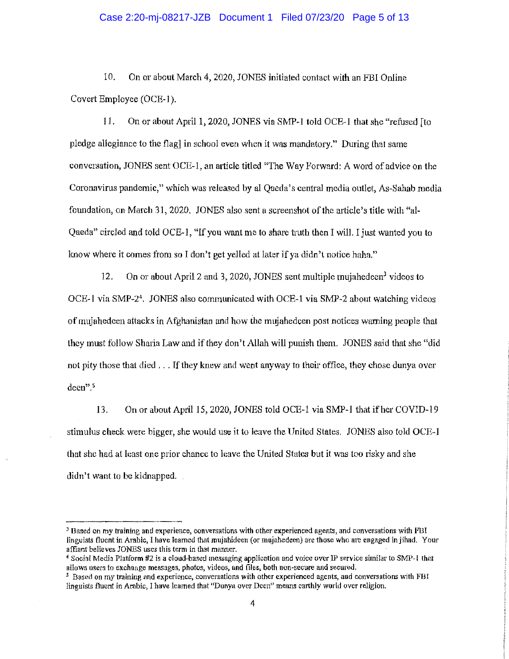#### Case 2:20-mj-08217-JZB Document 1 Filed 07/23/20 Page 5 of 13

10. On or about March 4, 2020, JONES initiated contact with an FBI Online Covert Employee (OCE-l ).

11. On or about April 1, 2020, JONES via SMP-1 told OCE-l that she "refused [to pledge allegiance to the flag] in school even when it was mandatory." During that same conversation, JONES sent OCE-1, an aiticle titled "The Way Forward: A word of advice on the Coronavirus pandemic," which was released by al Qaeda's central media outlet, As-Sahab media foundation, on March 31, 2020. JONES also sent a screenshot of the article's title with "al-Qaeda" circled and told OCE-1, "If you want me to share truth then I will. I just wanted you to know where it comes from so I don't get yelled at later if ya didn't notice haha."

12. On or about April 2 and 3, 2020, JONES sent multiple mujahedeen<sup>3</sup> videos to OCE-1 via SMP-24• JONES also communicated with OCE-1 via SMP-2 about watching videos of rnujahedeen attacks in Afghanistan and how the mujahedcen post notices warning people that they must follow Sharia Law and if they don't Allah will punish them. JONES said that she "did not pity those that died ... If they knew and went anyway to their office, they chose dunya over deen".5

13. On or about April 15, 2020, JONES told OCE-1 via SMP-1 that if her COVID-19 stimulus check were bigger, she would use it to leave the United States. JONES also told OCE-1 that she had at least one prior chance to leave the United States but it was too risky and she didn't want to be kidnapped.

*<sup>3</sup>***Based on my training and experience, conversations with other experienced agents 1 and conversations with FBI**  linguists fluent in Arabic, I have learned that mujahideen (or mujahedeen) are those who are engaged in jihad. Your affiant believes JONES uses this term in that manner.

<sup>4</sup>Social Media Platform 112 is a cloud-based messaging application and voice over IP service similar to SMP-l that allows users to exchange messages, photos, videos, and files, both non-secure and secured.

<sup>&</sup>lt;sup>5</sup> Based on my training and experience, conversations with other experienced agents, aud conversations with FBI linguists fluent in Arabic, I have learned that "Dunya over Deen" means carthly world over religion.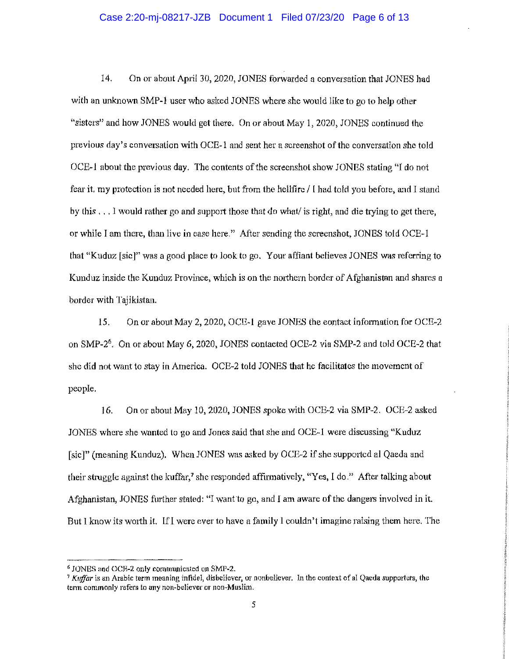## Case 2:20-mj-08217-JZB Document 1 Filed 07/23/20 Page 6 of 13

14. On or about April 30, 2020, JONES forwarded a conversation that JONES had with an unknown SMP-1 user who asked JONES where she would like to go to help other "sisters" and how JONES would get there. On or about May !, 2020, JONES continued the previous day's conversation with OCE-1 and sent her a screenshot of the conversation she told OCE-1 about the previous day. The contents of the screenshot show JONES stating "I do not fear it. my protection is not needed here, but from the hellfire/ I had told you before, and I stand by this ... 1 would rather go and support those that do what/ is right, and die trying to get there, or while I am there, than live in ease here." After sending the screenshot, JONES told OCE-1 that "Kuduz [sic]" was a good place to look to go. Your affiant believes JONES was referring to Kunduz inside the Kunduz Province, which is on the northern border of Afghanistan and shares a border with Tajikistan.

15. On or about May 2, 2020, OCE-1 gave JONES the eontact information for OCE-2 on SMP-26• On or about May 6, 2020, JONES contacted OCE-2 via SMP-2 and told OCE-2 that she did not want to stay in America. OCE-2 told JONES that he facilitates the movement of people.

I 6. On or about May 10, 2020, JONES spoke with OCE-2 via SMP-2. OCE-2 asked JONES where she wanted to go and Jones said that she and OCE-1 were discussing "Kuduz [sic]" (meaning Kunduz). When JONES was asked by OCE-2 if she supported al Qaeda and their struggle against the kuffar,' she responded affirmatively, "Yes, I do." After talking about Afghanistan, JONES further stated: "I want to go, and I am aware of the dangers involved in it. But I know its worth it. If I were ever to have a family I couldn't imagine raising them here. The

<sup>6</sup> JONES and OCR-2 only communicated on SMP-2.

<sup>7</sup>*Ku/far* is an Arabic term meaning infidel, disbeliever, or nonbeliever. In the context of al Qaeda supporters, the term commonly refers to any non-believer or non-Muslim.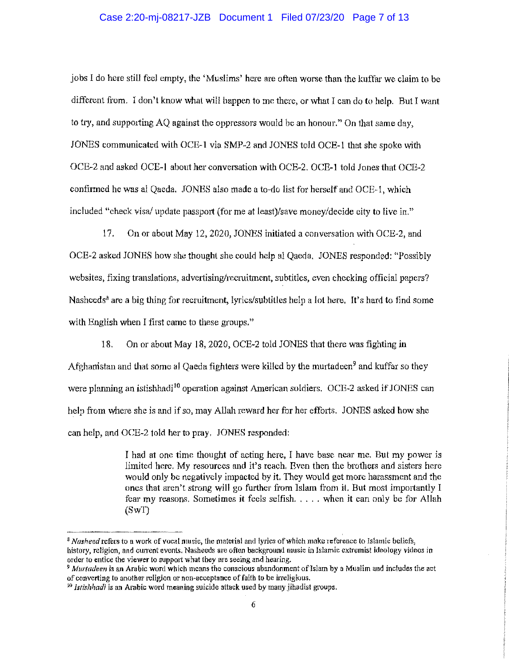## Case 2:20-mj-08217-JZB Document 1 Filed 07/23/20 Page 7 of 13

jobs I do here still feel empty, the 'Muslims' here are often worse than the kuffar we claim to be different from. I don't know what will happen to me there, or what I can do to help. But I want to try, and supporting AQ against the oppressors would be an honour." On that same day, JONES communicated with OCE-1 via SMP-2 and JONES told OCE-1 that she spoke with OCE-2 and asked OCE-1 about her conversation with OCE-2. OCE-1 told Jones that OCE-2 confitmed he was al Qaeda, JONES also made a to-do list for herself and OCE-1, whieh included "check visa/ update passport (for me at least)/save money/decide city to live in."

17. On or about May 12, 2020, JONES initiated a conversation with OCE-2, and OCE-2 asked JONES how she thought she could help al Qaeda. JONES responded: "Possibly websites, fixing translations, advertising/recruitment, subtitles, even checking official papers? Nasheeds<sup>8</sup> are a big thing for recruitment, lyrics/subtitles help a lot here. It's hard to find some with English when I first came to these groups."

18. On or about May 18, 2020, OCE-2 told JONES that there was fighting in

Afghamistan and that some al Qaeda fighters were killed by the murtadeen<sup>9</sup> and lcuffar so they were planning an istishhadi<sup>10</sup> operation against American soldiers. OCE-2 asked if JONES can help from where she is and if so, may Allah reward her for her efforts. JONES asked how she can help, and OCE-2 told her to pray. JONES responded:

> I had at one time thought of acting here, I have base near me. But my power is limited here. My resources and it's reach. Even then the brothers and sisters here would only be negatively impacted by it. They would get more harassment and the ones that aren't strong will go further from Islam from it. But most importantly I fear my reasons. Sometimes it feels selfish. , ... when it can only be for Allah (SwT)

<sup>&</sup>lt;sup>8</sup> *Nasheed* **refers to a work of vocal music, the material and lyrics of which make reference to Islamic beliefs,** history, religion, and current events. Nasheeds are often background music in Islamic extremist ideology videos in **order to entice the vlewer to support what they are seeing and hearing.** 

<sup>9</sup>*Mw·tadeen* is an Arabic word which means the conscious abandonment oflslam by a Muslim and includes the act of converting to another religion or non-acceptance of faith to be irreligious.

<sup>10</sup>*Jstishhadi* is an Arabic word meaning suicide attack used by many jihadist groups.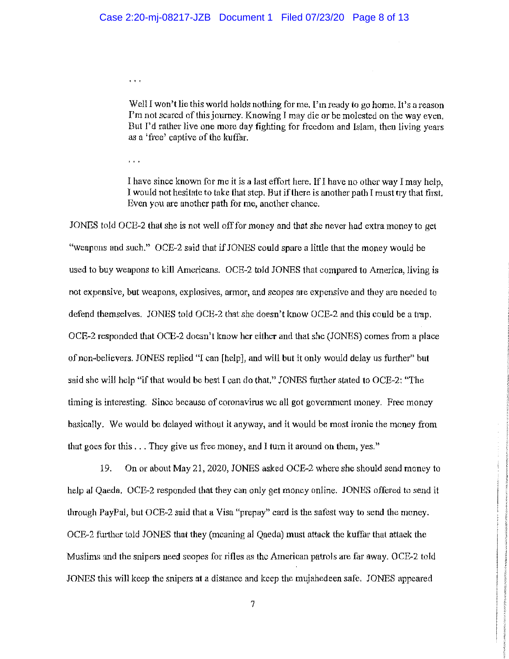$\ddot{\phantom{a}}$ 

Well I won't lie this world holds nothing for me. I'm ready to go home. It's a reason I'm not scared of this journey. Knowing I may die or be molested on the way even. But I'd rather live one more day fighting for freedom and Islam, then living years as a 'free' captive of the kuffar.

 $\bar{t}$  ,  $\bar{t}$  ,  $\bar{t}$ 

I have since known for me it is a last effort here. If I have no other way I may help, I would not hesitate to take that step. But if there is another path I must try that first. Even you are another path for me, another chance.

JONES told OCE-2 that she is not well off for money and that she never had extra money to get "weapons and such." OCE-2 said that if JONES could spare a little that the money would be used to buy weapons to kill Americans. OCE-2 told JONES that compared to America, living is not expensive, but weapons, explosives, armor, and scopes are expensive and they are needed to defend themselves. JONES told OCE-2 that she doesn't know OCE-2 and this could be a trap. OCE-2 responded that OCE-2 doesn't !mow her either and that she (JONES) comes from a place of non-believers. JONES replied "I can [help], and will but it only would delay us further" but said she will help "if that would be best I can do that." JONES futther stated to OCE-2: "The timing is interesting. Since because of coronavirus we all got government money, Free money basically. We would be delayed without it anyway, and it would be most irnnie the money from that goes for this ... They give us free money, and I turn it around on them, yes."

19. On or about May 21, 2020, JONES asked OCE-2 where she should send money to help al Qaeda. OCE-2 responded that they can only get money online. JONES offered to send it through PayPal, but OCE-2 said that a Visa "prepay" card is the safost way to send the money. OCE-2 further told JONES that they (meaning al Qaeda) must attack the kuffar that attack the Muslims and the snipers need scopes for rifles as the American patrols are far away. OCE-2 told JONES this will keep the snipers at a distance and keep the mujahedeen safe. JONES appeared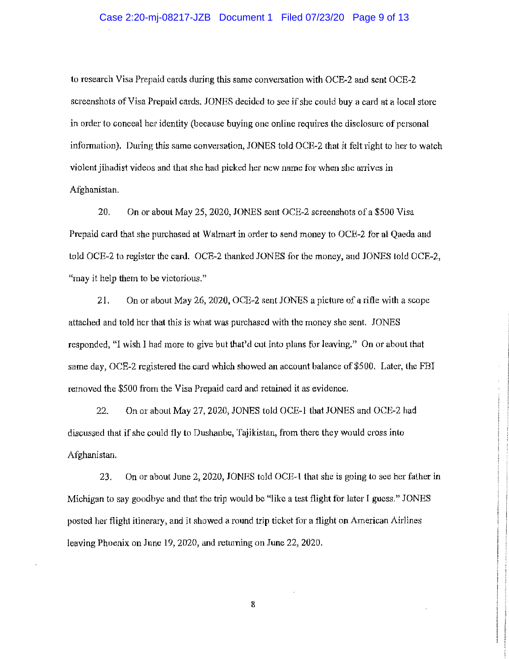## Case 2:20-mj-08217-JZB Document 1 Filed 07/23/20 Page 9 of 13

to research Visa Prepaid cards during this same conversation with OCE-2 and sent OCE-2 screenshots of Visa Prepaid cards. JONES decided to see if she could buy a card at a local store in order to conceal her identity (because buying one online requires the disclosure of personal information). During this same conversation, JONES told OCE-2 that it felt right to her to watch violent jihadist videos and that she had picked her new name for when she anives in Afghanistan.

20. On or about May 25, 2020, JONES sent OCE-2 screenshots of a \$500 Visa Prepaid card that she purchased at Walmatt in order to send money to OCE-2 for al Qaeda and told OCE-2 to register the card. OCE-2 thanked JONES for the money, and JONES told OCE-2, "may it help them to be victorious."

21. On or about May 26, 2020, OCE-2 sent JONES a picture of a rifle with a scope attached and told her that this is what was purchased with the money she sent. JONES responded, "I wish I had more to give but that'd cut into plans for leaving." On or about that same day, OCE-2 registered the card which showed an account balance of \$500. Later, the FBI removed the \$500 from the Visa Prepaid card and retained it as evidence.

22. On 01· about May 27, 2020, JONES told OCE-1 that JONES and OCE-2 had discussed that if she could fly to Dushanbe, Tajikistan, from there they would cross into Afghanistan.

23. On or about June 2, 2020, JONES told OCE-1 that she is going to see her father in Michigan to say goodbye and that the trip would be "like a test flight for later I guess." JONES posted her flight itinerary, and it showed a round trip ticket for a flight on American Airlines leaving Phoenix on June 19, 2020, and returning on June 22, 2020.

8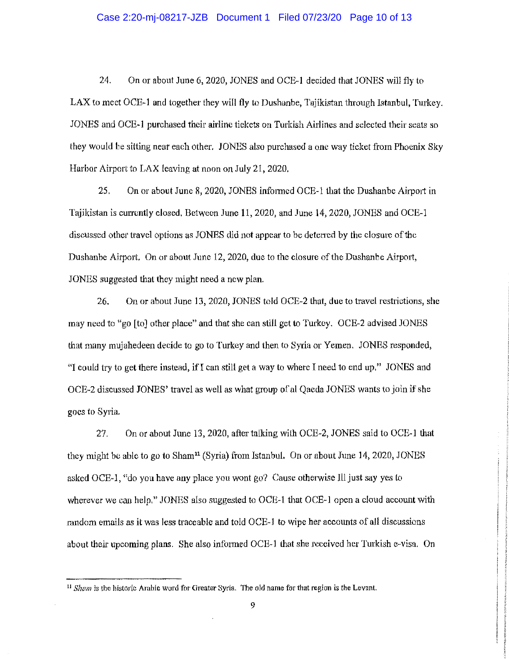#### Case 2:20-mj-08217-JZB Document 1 Filed 07/23/20 Page 10 of 13

24. On or about June 6, 2020, JONES and OCE-1 decided that JONES will fly to LAX to meet OCE-1 and together they will fly to Dushanbe, Tajikistan through Istanbul, Turkey. JONES and OCE-1 purchased their airline tickets on Turkish Airlines and selected their seats so they would be sitting near each other, JONES also purchased a one way ticket from Phoenix Sky Harbor Airport to LAX leaving at noon on July 21, 2020.

25. On or about June 8, 2020, JONES informed OCE-1 that the Dushanbe Airport in Tajikistan is currently closed, Between June 11, 2020, and June 14, 2020, JONES and OCE-1 discussed other travel options as JONES did not appear to be detened by the closure of the Dushanbe Airport. On or about June 12, 2020, due to the closure of the Dushanbe Airport, JONES suggested that they might need a new plan.

 $26.$  On or about June 13, 2020, JONES told OCE-2 that, due to travel restrictions, she may need to "go [to] other place" and that she can still get to Turkey. OCE-2 advised JONES that many mujahedeen decide to go to Turkey and then to Syria or Yemen. JONES responded, "I could try to get there instead, ifl can still get a way to where I need to end up," JONES and OCE-2 discussed JONES' travel as well as what group of al Qaeda JONES wants to join if she goes to Syria.

27. On or about June 13, 2020, after talking with OCE-2, JONES said to OCE-1 that they might be able to go to Sham<sup>11</sup> (Syria) from Istanbul. On or about June 14, 2020, JONES asked OCE-1, "do you have any place you wont go? Cause otherwise Ill just say yes to wherever we can help." JONES also suggested to OCE-1 that OCE-1 open a cloud account with random emails as it was less traceable and told OCE-l to wipe her accounts of all discussions about their upcoming plans. She also informed OCE-1 that she received her Turkish e-visa. On

<sup>11</sup>*Sham* is the historic Arabic word for Greater Syria. The old name for that region is the Levant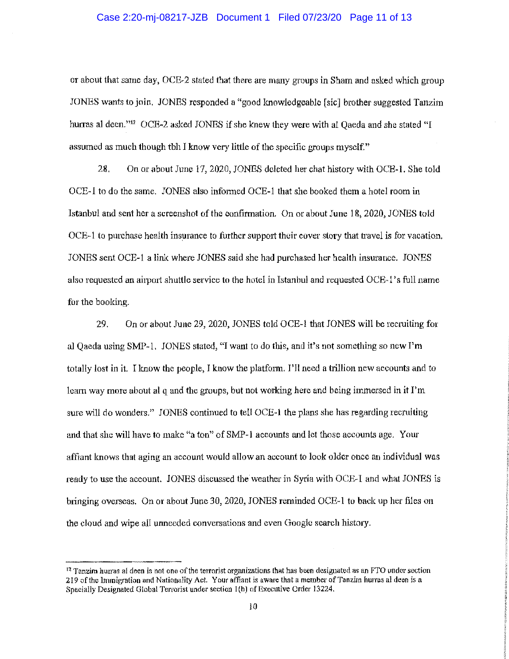#### Case 2:20-mj-08217-JZB Document 1 Filed 07/23/20 Page 11 of 13

or about that same day, OCE-2 stated that there are many groups in Sham and asked which group JONES wants to join. JONES responded a "good Imowledgeable [sic] brother suggested Tanzim hurras al deen."<sup>12</sup> OCE-2 asked JONES if she knew they were with al Oaeda and she stated "I assumed as much though tbh I know very little of the specific groups myself."

28. On or about June 17, 2020, JONES deleted her chat history with OCE-1. She told OCE-1 to do the same. JONES also infmmed OCE-1 that she booked them a hotel room in Istanbul and sent her a screenshot of the confirmation. On or about June 18, 2020, JONES told OCE-1 to purchase health insurance to further support their cover story that travel is for vacation, JONES sent OCE-1 a link where JONES said she had purchased her health insurance. JONES also requested an airport shuttle service to the hotel in Istanbul and requested OCE-1 's full name for the booking.

29. On or about June 29, 2020, JONES told OCE-1 that JONES will be recruiting for al Qaeda using SMP-1. JONES stated, "I want to do this, and it's not something so new I'm totally lost in it. I know the people, I know the platfonn. I'll need a trillion new accounts and to learn way more about al q and the groups, but not working here and being immersed in it I'm sure will do wonders." JONES continued to tell OCE-1 the plans she has regarding recruiting and that she will have to make "a ton" of SMP-I accounts and let those accounts age. Your affiant knows that aging an account would allow an account to look older once an individual was ready to use the account. JONES discussed the weather in Syria with OCE-I and what JONES is bringing overseas. On or about June 30, 2020, JONES reminded OCE-1 to back up her files on the cloud and wipe all unneeded conversations and even Google search history.

 $<sup>12</sup>$  Tanzim hurras al deen is not one of the terrorist organizations that has been designated as an FTO under section</sup> 219 of!he Immigration and Nationality Act. Your affiant *is* aware that a member ofTanzim hurras al deen is a Specially Designated Global Terrorist under section l(h) of Executive Order 13224.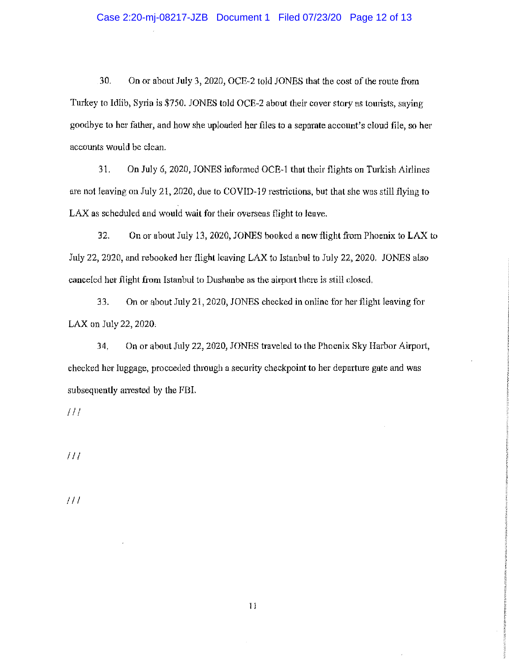## Case 2:20-mj-08217-JZB Document 1 Filed 07/23/20 Page 12 of 13

30. On or about July 3, 2020, OCE-2 told JONES that the cost of the route from Turkey to Idlib, Syria is \$750. JONES told OCE-2 about their cover story as tourists, saying goodbye to her father, and how she uploaded her files to a separate account's cloud file, so her accounts would be clean.

31. On July 6, 2020, JONES informed OCE-1 that their flights on Turkish Airlines are not leaving on July 21, 2020, due to COVID-19 restrictions, but that she was still flying to LAX as scheduled and would wait for their overseas flight to leave.

32. On or about July 13, 2020, JONES booked a new flight from Phoenix to LAX to July 22, 2020, and rebooked her flight leaving LAX to Istanbul to July 22, 2020. JONES also canceled her flight from Istanbul to Dushanbe as the airport there is still closed,

33. On or about July 21, 2020, JONES checked in online for her flight leaving for LAX on July 22, 2020,

34. On or about July 22, 2020, JONES traveled to the Phoenix Sky Harbor Airport, checked her luggage, proceeded through a security checkpoint to her departure gate and was subsequently arrested by the FBI.

I II

 $III$ 

 $111$